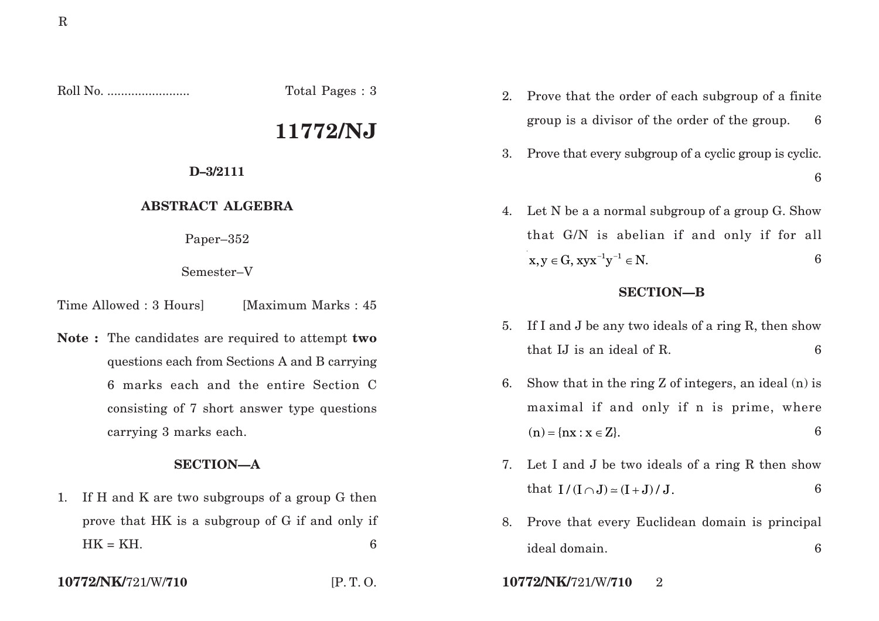Roll No. ........................ Total Pages : 3

# **11772/NJ**

### **D–3/2111**

### **ABSTRACT ALGEBRA**

Paper–352

Semester–V

Time Allowed : 3 Hours [Maximum Marks : 45]

**Note :** The candidates are required to attempt **two** questions each from Sections A and B carrying 6 marks each and the entire Section C consisting of 7 short answer type questions carrying 3 marks each.

### **SECTION—A**

- 1. If H and K are two subgroups of a group G then prove that HK is a subgroup of G if and only if  $HK = KH$ .
- 

- 2. Prove that the order of each subgroup of a finite group is a divisor of the order of the group. 6
- 3. Prove that every subgroup of a cyclic group is cyclic. 6
- 4. Let N be a a normal subgroup of a group G. Show that G/N is abelian if and only if for all  $X, Y \in G$ ,  $XYX^{-1}Y^{-1} \in N$ . 6

## **SECTION—B**

- 5. If I and J be any two ideals of a ring R, then show that IJ is an ideal of R. 6
- 6. Show that in the ring Z of integers, an ideal (n) is maximal if and only if n is prime, where  $(n) = \{nx : x \in Z\}.$  6
- 7. Let I and J be two ideals of a ring R then show that  $I/ (I \cap J) \simeq (I + J) / J$ . 6
- 8. Prove that every Euclidean domain is principal ideal domain. 6
- **10772/NK/**721/W/**710** [P. T. O. **10772/NK/**721/W/**710** 2